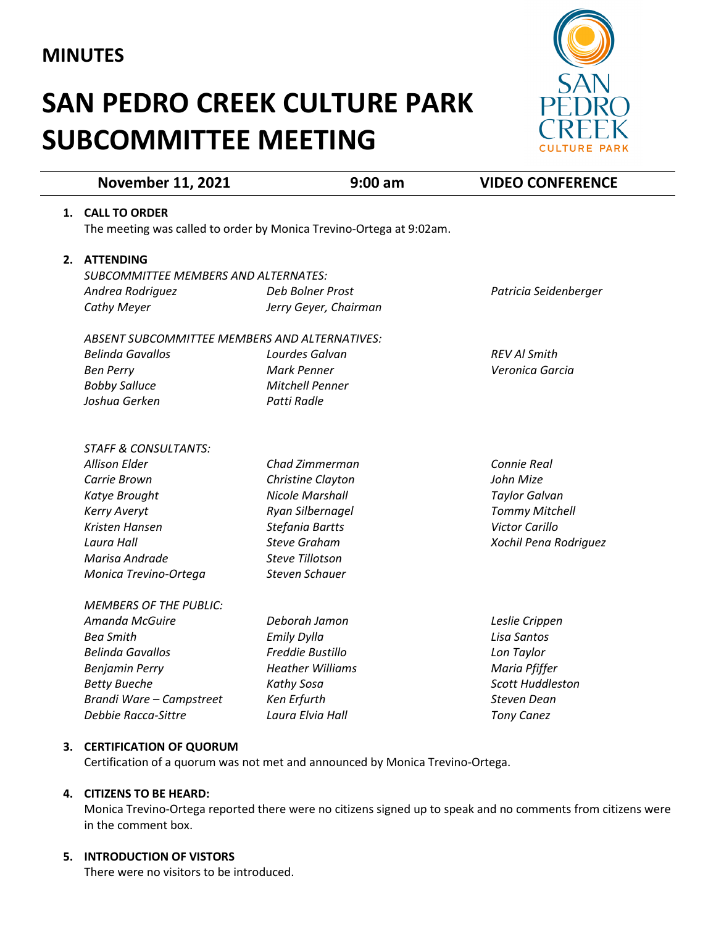# **MINUTES**

# **SAN PEDRO CREEK CULTURE PARK SUBCOMMITTEE MEETING**



|    | <b>November 11, 2021</b>                                            | $9:00$ am               | <b>VIDEO CONFERENCE</b> |
|----|---------------------------------------------------------------------|-------------------------|-------------------------|
|    | 1. CALL TO ORDER                                                    |                         |                         |
|    | The meeting was called to order by Monica Trevino-Ortega at 9:02am. |                         |                         |
|    |                                                                     |                         |                         |
| 2. | <b>ATTENDING</b>                                                    |                         |                         |
|    | SUBCOMMITTEE MEMBERS AND ALTERNATES:                                |                         |                         |
|    | Andrea Rodriguez                                                    | Deb Bolner Prost        | Patricia Seidenberger   |
|    | Cathy Meyer                                                         | Jerry Geyer, Chairman   |                         |
|    | ABSENT SUBCOMMITTEE MEMBERS AND ALTERNATIVES:                       |                         |                         |
|    | <b>Belinda Gavallos</b>                                             | Lourdes Galvan          | <b>REV AI Smith</b>     |
|    | <b>Ben Perry</b>                                                    | <b>Mark Penner</b>      | Veronica Garcia         |
|    | <b>Bobby Salluce</b>                                                | <b>Mitchell Penner</b>  |                         |
|    | Joshua Gerken                                                       | Patti Radle             |                         |
|    |                                                                     |                         |                         |
|    | <b>STAFF &amp; CONSULTANTS:</b>                                     |                         |                         |
|    | <b>Allison Elder</b>                                                | Chad Zimmerman          | Connie Real             |
|    | Carrie Brown                                                        | Christine Clayton       | John Mize               |
|    | Katye Brought                                                       | <b>Nicole Marshall</b>  | <b>Taylor Galvan</b>    |
|    | <b>Kerry Averyt</b>                                                 | Ryan Silbernagel        | <b>Tommy Mitchell</b>   |
|    | Kristen Hansen                                                      | Stefania Bartts         | <b>Victor Carillo</b>   |
|    | Laura Hall                                                          | <b>Steve Graham</b>     | Xochil Pena Rodriguez   |
|    | Marisa Andrade                                                      | <b>Steve Tillotson</b>  |                         |
|    | Monica Trevino-Ortega                                               | <b>Steven Schauer</b>   |                         |
|    | <b>MEMBERS OF THE PUBLIC:</b>                                       |                         |                         |
|    | Amanda McGuire                                                      | Deborah Jamon           | Leslie Crippen          |
|    | <b>Bea Smith</b>                                                    | <b>Emily Dylla</b>      | Lisa Santos             |
|    | <b>Belinda Gavallos</b>                                             | Freddie Bustillo        | Lon Taylor              |
|    | <b>Benjamin Perry</b>                                               | <b>Heather Williams</b> | Maria Pfiffer           |
|    | <b>Betty Bueche</b>                                                 | Kathy Sosa              | <b>Scott Huddleston</b> |
|    | Brandi Ware - Campstreet                                            | Ken Erfurth             | <b>Steven Dean</b>      |
|    | Debbie Racca-Sittre                                                 | Laura Elvia Hall        | <b>Tony Canez</b>       |
|    |                                                                     |                         |                         |

### **3. CERTIFICATION OF QUORUM**

Certification of a quorum was not met and announced by Monica Trevino-Ortega.

### **4. CITIZENS TO BE HEARD:**

Monica Trevino-Ortega reported there were no citizens signed up to speak and no comments from citizens were in the comment box.

# **5. INTRODUCTION OF VISTORS**

There were no visitors to be introduced.